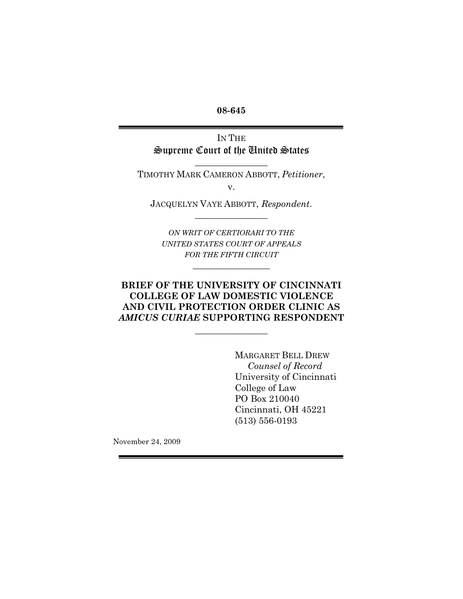**08-645**

IN THE Supreme Court of the United States

 $\overline{\phantom{a}}$  , where  $\overline{\phantom{a}}$ 

TIMOTHY MARK CAMERON ABBOTT, *Petitioner*, v.

JACQUELYN VAYE ABBOTT, *Respondent*.  $\overline{\phantom{a}}$  , where  $\overline{\phantom{a}}$ 

*ON WRIT OF CERTIORARI TO THE UNITED STATES COURT OF APPEALS FOR THE FIFTH CIRCUIT*

 $\overline{\phantom{a}}$  , where  $\overline{\phantom{a}}$ 

# **BRIEF OF THE UNIVERSITY OF CINCINNATI COLLEGE OF LAW DOMESTIC VIOLENCE AND CIVIL PROTECTION ORDER CLINIC AS**  *AMICUS CURIAE* **SUPPORTING RESPONDENT**

 $\frac{1}{2}$  ,  $\frac{1}{2}$  ,  $\frac{1}{2}$  ,  $\frac{1}{2}$  ,  $\frac{1}{2}$  ,  $\frac{1}{2}$  ,  $\frac{1}{2}$ 

MARGARET BELL DREW  *Counsel of Record* University of Cincinnati College of Law PO Box 210040 Cincinnati, OH 45221 (513) 556-0193

November 24, 2009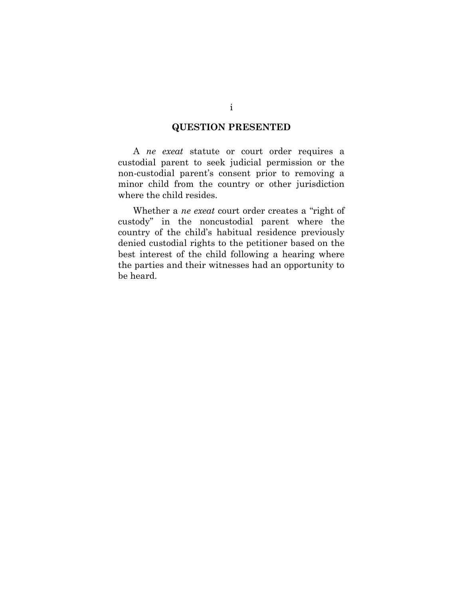### **QUESTION PRESENTED**

A *ne exeat* statute or court order requires a custodial parent to seek judicial permission or the non-custodial parent's consent prior to removing a minor child from the country or other jurisdiction where the child resides.

Whether a *ne exeat* court order creates a "right of custody" in the noncustodial parent where the country of the child's habitual residence previously denied custodial rights to the petitioner based on the best interest of the child following a hearing where the parties and their witnesses had an opportunity to be heard.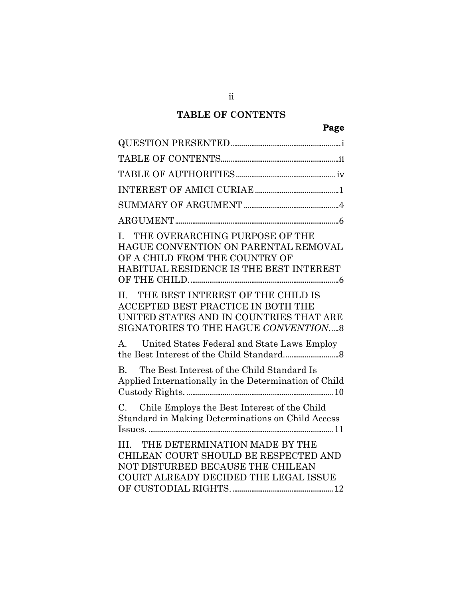# **TABLE OF CONTENTS**

| THE OVERARCHING PURPOSE OF THE<br>$\mathbf{I}$<br>HAGUE CONVENTION ON PARENTAL REMOVAL<br>OF A CHILD FROM THE COUNTRY OF<br>HABITUAL RESIDENCE IS THE BEST INTEREST               |
|-----------------------------------------------------------------------------------------------------------------------------------------------------------------------------------|
| II. THE BEST INTEREST OF THE CHILD IS<br>ACCEPTED BEST PRACTICE IN BOTH THE<br>UNITED STATES AND IN COUNTRIES THAT ARE<br>SIGNATORIES TO THE HAGUE CONVENTION8                    |
| A. United States Federal and State Laws Employ                                                                                                                                    |
| B. The Best Interest of the Child Standard Is<br>Applied Internationally in the Determination of Child                                                                            |
| C. Chile Employs the Best Interest of the Child<br>Standard in Making Determinations on Child Access                                                                              |
| THE DETERMINATION MADE BY THE<br>$\overline{\text{III}}$ .<br>CHILEAN COURT SHOULD BE RESPECTED AND<br>NOT DISTURBED BECAUSE THE CHILEAN<br>COURT ALREADY DECIDED THE LEGAL ISSUE |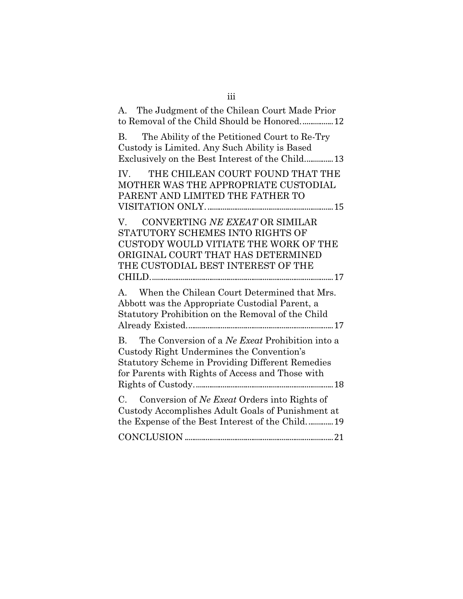| A. The Judgment of the Chilean Court Made Prior<br>to Removal of the Child Should be Honored 12                                                                                                                          |
|--------------------------------------------------------------------------------------------------------------------------------------------------------------------------------------------------------------------------|
| The Ability of the Petitioned Court to Re-Try<br>В.<br>Custody is Limited. Any Such Ability is Based<br>Exclusively on the Best Interest of the Child13                                                                  |
| THE CHILEAN COURT FOUND THAT THE<br>IV.<br>MOTHER WAS THE APPROPRIATE CUSTODIAL<br>PARENT AND LIMITED THE FATHER TO                                                                                                      |
| CONVERTING NE EXEAT OR SIMILAR<br>$V_{\cdot}$<br>STATUTORY SCHEMES INTO RIGHTS OF<br>CUSTODY WOULD VITIATE THE WORK OF THE<br>ORIGINAL COURT THAT HAS DETERMINED<br>THE CUSTODIAL BEST INTEREST OF THE                   |
| When the Chilean Court Determined that Mrs.<br>$A_{\cdot}$<br>Abbott was the Appropriate Custodial Parent, a<br>Statutory Prohibition on the Removal of the Child                                                        |
| The Conversion of a <i>Ne Exect</i> Prohibition into a<br>B.<br>Custody Right Undermines the Convention's<br><b>Statutory Scheme in Providing Different Remedies</b><br>for Parents with Rights of Access and Those with |
| Conversion of Ne Exeat Orders into Rights of<br>C.<br>Custody Accomplishes Adult Goals of Punishment at<br>the Expense of the Best Interest of the Child 19                                                              |
|                                                                                                                                                                                                                          |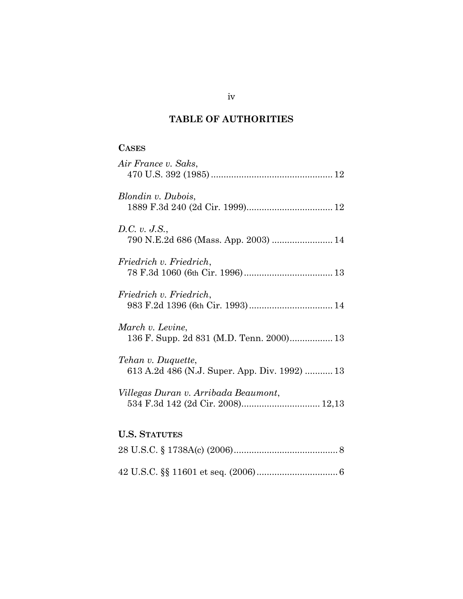# **TABLE OF AUTHORITIES**

# **CASES**

| Air France v. Saks,                                                       |
|---------------------------------------------------------------------------|
| Blondin v. Dubois,                                                        |
| D.C. v. J.S.,                                                             |
| Friedrich v. Friedrich,                                                   |
| Friedrich v. Friedrich,                                                   |
| March v. Levine,<br>136 F. Supp. 2d 831 (M.D. Tenn. 2000) 13              |
| Tehan v. Duquette,<br>613 A.2d 486 (N.J. Super. App. Div. 1992)  13       |
| Villegas Duran v. Arribada Beaumont,<br>534 F.3d 142 (2d Cir. 2008) 12,13 |
| <b>U.S. STATUTES</b>                                                      |
|                                                                           |

42 U.S.C. §§ 11601 et seq. (2006)................................ 6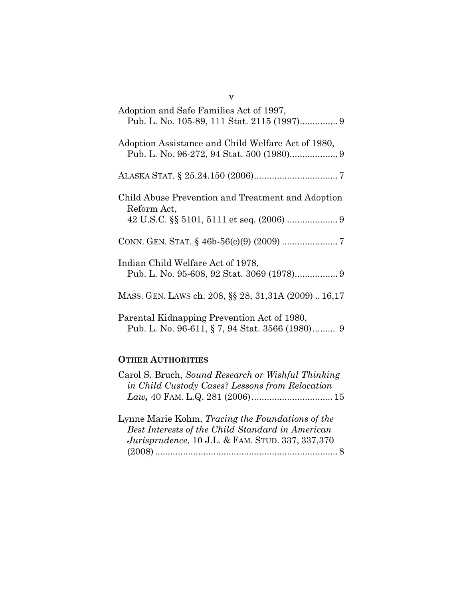| Adoption and Safe Families Act of 1997,                                                        |
|------------------------------------------------------------------------------------------------|
| Adoption Assistance and Child Welfare Act of 1980,                                             |
|                                                                                                |
| Child Abuse Prevention and Treatment and Adoption<br>Reform Act,                               |
|                                                                                                |
| Indian Child Welfare Act of 1978,                                                              |
| MASS. GEN. LAWS ch. 208, §§ 28, 31,31A (2009) 16,17                                            |
| Parental Kidnapping Prevention Act of 1980,<br>Pub. L. No. 96-611, § 7, 94 Stat. 3566 (1980) 9 |

# **OTHER AUTHORITIES**

| Carol S. Bruch, Sound Research or Wishful Thinking<br>in Child Custody Cases? Lessons from Relocation |  |
|-------------------------------------------------------------------------------------------------------|--|
|                                                                                                       |  |
| Lynne Marie Kohm, Tracing the Foundations of the                                                      |  |
| Best Interests of the Child Standard in American                                                      |  |
| <i>Jurisprudence</i> , 10 J.L. & FAM. STUD. 337, 337, 370                                             |  |
|                                                                                                       |  |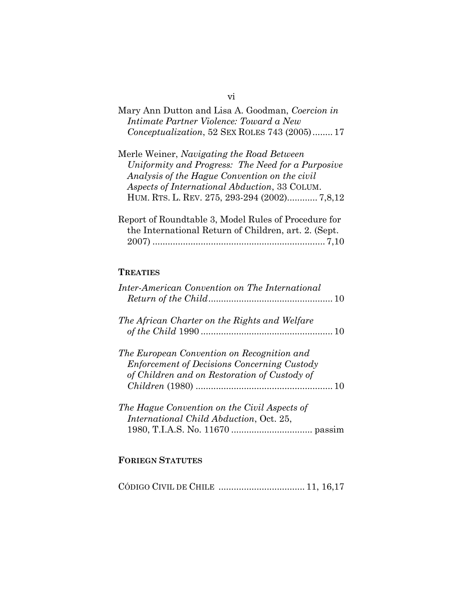| Mary Ann Dutton and Lisa A. Goodman, Coercion in |
|--------------------------------------------------|
| Intimate Partner Violence: Toward a New          |
| Conceptualization, 52 SEX ROLES 743 (2005) 17    |

Merle Weiner, *Navigating the Road Between Uniformity and Progress: The Need for a Purposive Analysis of the Hague Convention on the civil Aspects of International Abduction*, 33 COLUM. HUM. RTS. L. REV. 275, 293-294 (2002)............ 7,8,12

| Report of Roundtable 3, Model Rules of Procedure for  |  |  |
|-------------------------------------------------------|--|--|
| the International Return of Children, art. 2. (Sept.) |  |  |
|                                                       |  |  |

#### **TREATIES**

| Inter-American Convention on The International                                                                                                   |
|--------------------------------------------------------------------------------------------------------------------------------------------------|
| The African Charter on the Rights and Welfare                                                                                                    |
| The European Convention on Recognition and<br><i>Enforcement of Decisions Concerning Custody</i><br>of Children and on Restoration of Custody of |
| The Hague Convention on the Civil Aspects of<br><i>International Child Abduction, Oct. 25,</i>                                                   |

#### **FORIEGN STATUTES**

CÓDIGO CIVIL DE CHILE .................................. 11, 16,17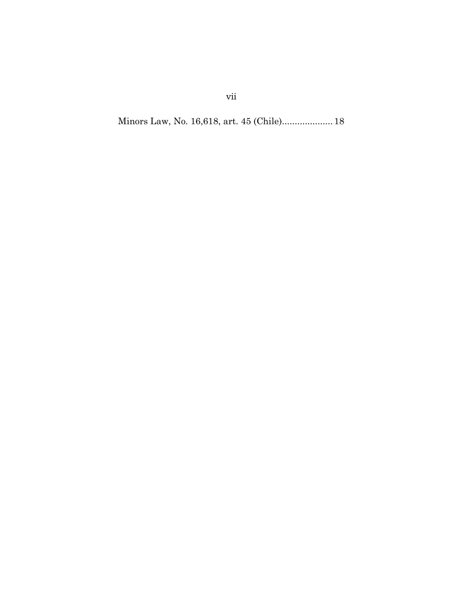Minors Law, No. 16,618, art. 45 (Chile).................... 18

vii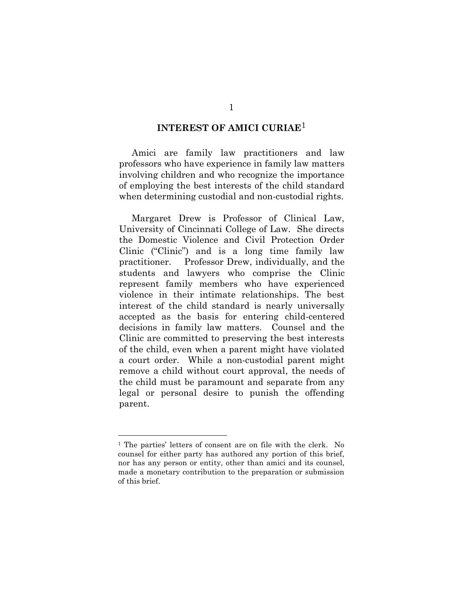#### **INTEREST OF AMICI CURIAE**1

Amici are family law practitioners and law professors who have experience in family law matters involving children and who recognize the importance of employing the best interests of the child standard when determining custodial and non-custodial rights.

Margaret Drew is Professor of Clinical Law, University of Cincinnati College of Law. She directs the Domestic Violence and Civil Protection Order Clinic ("Clinic") and is a long time family law practitioner. Professor Drew, individually, and the students and lawyers who comprise the Clinic represent family members who have experienced violence in their intimate relationships. The best interest of the child standard is nearly universally accepted as the basis for entering child-centered decisions in family law matters. Counsel and the Clinic are committed to preserving the best interests of the child, even when a parent might have violated a court order. While a non-custodial parent might remove a child without court approval, the needs of the child must be paramount and separate from any legal or personal desire to punish the offending parent.

 $\overline{a}$ 

<sup>1</sup> The parties' letters of consent are on file with the clerk. No counsel for either party has authored any portion of this brief, nor has any person or entity, other than amici and its counsel, made a monetary contribution to the preparation or submission of this brief.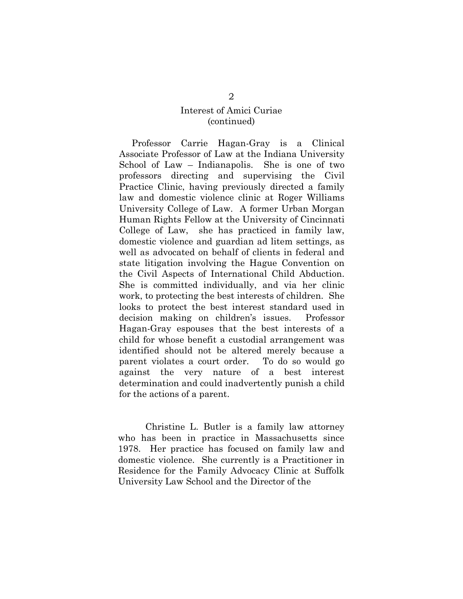#### Interest of Amici Curiae (continued)

Professor Carrie Hagan-Gray is a Clinical Associate Professor of Law at the Indiana University School of Law – Indianapolis. She is one of two professors directing and supervising the Civil Practice Clinic, having previously directed a family law and domestic violence clinic at Roger Williams University College of Law. A former Urban Morgan Human Rights Fellow at the University of Cincinnati College of Law, she has practiced in family law, domestic violence and guardian ad litem settings, as well as advocated on behalf of clients in federal and state litigation involving the Hague Convention on the Civil Aspects of International Child Abduction. She is committed individually, and via her clinic work, to protecting the best interests of children. She looks to protect the best interest standard used in decision making on children's issues. Professor Hagan-Gray espouses that the best interests of a child for whose benefit a custodial arrangement was identified should not be altered merely because a parent violates a court order. To do so would go against the very nature of a best interest determination and could inadvertently punish a child for the actions of a parent.

Christine L. Butler is a family law attorney who has been in practice in Massachusetts since 1978. Her practice has focused on family law and domestic violence. She currently is a Practitioner in Residence for the Family Advocacy Clinic at Suffolk University Law School and the Director of the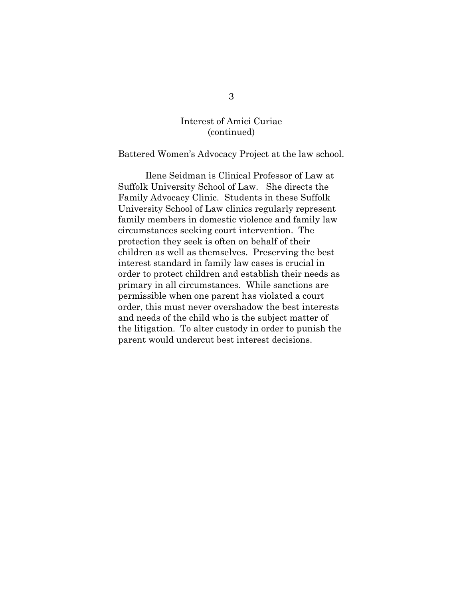# Interest of Amici Curiae (continued)

Battered Women's Advocacy Project at the law school.

 Ilene Seidman is Clinical Professor of Law at Suffolk University School of Law. She directs the Family Advocacy Clinic. Students in these Suffolk University School of Law clinics regularly represent family members in domestic violence and family law circumstances seeking court intervention. The protection they seek is often on behalf of their children as well as themselves. Preserving the best interest standard in family law cases is crucial in order to protect children and establish their needs as primary in all circumstances. While sanctions are permissible when one parent has violated a court order, this must never overshadow the best interests and needs of the child who is the subject matter of the litigation. To alter custody in order to punish the parent would undercut best interest decisions.

3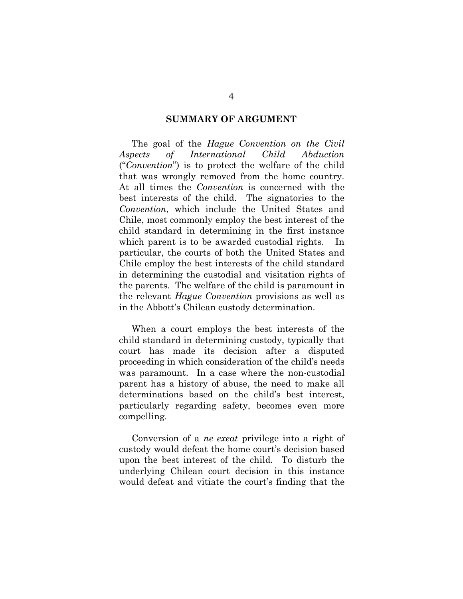#### **SUMMARY OF ARGUMENT**

The goal of the *Hague Convention on the Civil Aspects of International Child Abduction* ("*Convention*") is to protect the welfare of the child that was wrongly removed from the home country. At all times the *Convention* is concerned with the best interests of the child. The signatories to the *Convention*, which include the United States and Chile, most commonly employ the best interest of the child standard in determining in the first instance which parent is to be awarded custodial rights. In particular, the courts of both the United States and Chile employ the best interests of the child standard in determining the custodial and visitation rights of the parents. The welfare of the child is paramount in the relevant *Hague Convention* provisions as well as in the Abbott's Chilean custody determination.

When a court employs the best interests of the child standard in determining custody, typically that court has made its decision after a disputed proceeding in which consideration of the child's needs was paramount. In a case where the non-custodial parent has a history of abuse, the need to make all determinations based on the child's best interest, particularly regarding safety, becomes even more compelling.

Conversion of a *ne exeat* privilege into a right of custody would defeat the home court's decision based upon the best interest of the child. To disturb the underlying Chilean court decision in this instance would defeat and vitiate the court's finding that the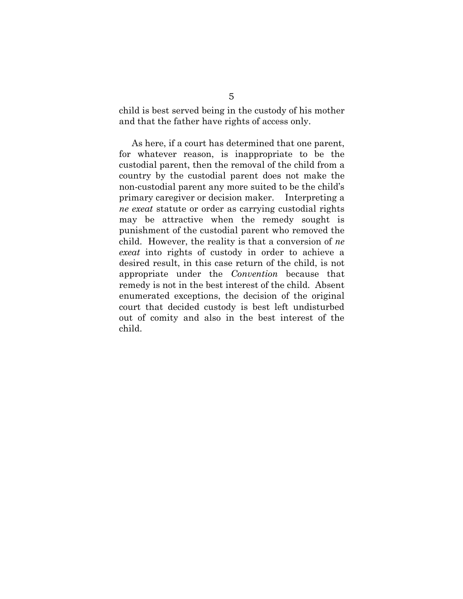child is best served being in the custody of his mother and that the father have rights of access only.

As here, if a court has determined that one parent, for whatever reason, is inappropriate to be the custodial parent, then the removal of the child from a country by the custodial parent does not make the non-custodial parent any more suited to be the child's primary caregiver or decision maker. Interpreting a *ne exeat* statute or order as carrying custodial rights may be attractive when the remedy sought is punishment of the custodial parent who removed the child. However, the reality is that a conversion of *ne exeat* into rights of custody in order to achieve a desired result, in this case return of the child, is not appropriate under the *Convention* because that remedy is not in the best interest of the child. Absent enumerated exceptions, the decision of the original court that decided custody is best left undisturbed out of comity and also in the best interest of the child.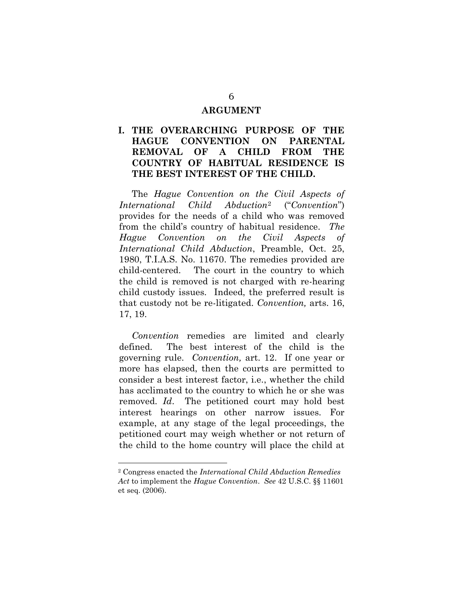#### **ARGUMENT**

## **I. THE OVERARCHING PURPOSE OF THE HAGUE CONVENTION ON PARENTAL REMOVAL OF A CHILD FROM THE COUNTRY OF HABITUAL RESIDENCE IS THE BEST INTEREST OF THE CHILD.**

The *Hague Convention on the Civil Aspects of International Child Abduction*<sup>2</sup> ("*Convention*") provides for the needs of a child who was removed from the child's country of habitual residence. *The Hague Convention on the Civil Aspects of International Child Abduction*, Preamble, Oct. 25, 1980, T.I.A.S. No. 11670. The remedies provided are child-centered. The court in the country to which the child is removed is not charged with re-hearing child custody issues. Indeed, the preferred result is that custody not be re-litigated. *Convention,* arts. 16, 17, 19.

*Convention* remedies are limited and clearly defined. The best interest of the child is the governing rule. *Convention,* art. 12. If one year or more has elapsed, then the courts are permitted to consider a best interest factor, i.e., whether the child has acclimated to the country to which he or she was removed. *Id*. The petitioned court may hold best interest hearings on other narrow issues. For example, at any stage of the legal proceedings, the petitioned court may weigh whether or not return of the child to the home country will place the child at

 $\overline{a}$ 

<sup>2</sup> Congress enacted the *International Child Abduction Remedies Act* to implement the *Hague Convention*. *See* 42 U.S.C. §§ 11601 et seq. (2006).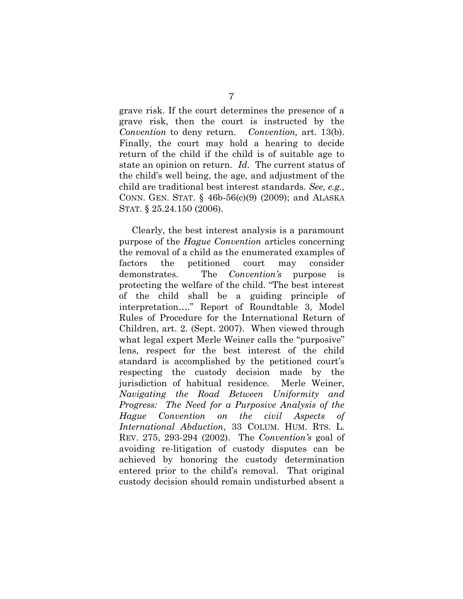grave risk. If the court determines the presence of a grave risk, then the court is instructed by the *Convention* to deny return. *Convention,* art. 13(b). Finally, the court may hold a hearing to decide return of the child if the child is of suitable age to state an opinion on return. *Id*. The current status of the child's well being, the age, and adjustment of the child are traditional best interest standards. *See, e.g.,*  CONN. GEN. STAT.  $\S$  46b-56(c)(9) (2009); and ALASKA STAT. § 25.24.150 (2006).

Clearly, the best interest analysis is a paramount purpose of the *Hague Convention* articles concerning the removal of a child as the enumerated examples of factors the petitioned court may consider demonstrates. The *Convention's* purpose is protecting the welfare of the child. "The best interest of the child shall be a guiding principle of interpretation…." Report of Roundtable 3, Model Rules of Procedure for the International Return of Children, art. 2. (Sept. 2007). When viewed through what legal expert Merle Weiner calls the "purposive" lens, respect for the best interest of the child standard is accomplished by the petitioned court's respecting the custody decision made by the jurisdiction of habitual residence. Merle Weiner, *Navigating the Road Between Uniformity and Progress: The Need for a Purposive Analysis of the Hague Convention on the civil Aspects of International Abduction*, 33 COLUM. HUM. RTS. L. REV. 275, 293-294 (2002). The *Convention's* goal of avoiding re-litigation of custody disputes can be achieved by honoring the custody determination entered prior to the child's removal. That original custody decision should remain undisturbed absent a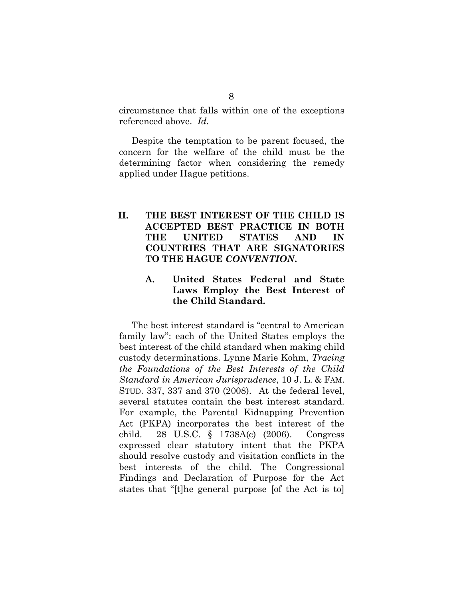circumstance that falls within one of the exceptions referenced above. *Id.*

Despite the temptation to be parent focused, the concern for the welfare of the child must be the determining factor when considering the remedy applied under Hague petitions.

### **II. THE BEST INTEREST OF THE CHILD IS ACCEPTED BEST PRACTICE IN BOTH THE UNITED STATES AND IN COUNTRIES THAT ARE SIGNATORIES TO THE HAGUE** *CONVENTION***.**

## **A. United States Federal and State Laws Employ the Best Interest of the Child Standard.**

The best interest standard is "central to American family law": each of the United States employs the best interest of the child standard when making child custody determinations. Lynne Marie Kohm, *Tracing the Foundations of the Best Interests of the Child Standard in American Jurisprudence*, 10 J. L. & FAM. STUD. 337, 337 and 370 (2008). At the federal level, several statutes contain the best interest standard. For example, the Parental Kidnapping Prevention Act (PKPA) incorporates the best interest of the child. 28 U.S.C. § 1738A(c) (2006). Congress expressed clear statutory intent that the PKPA should resolve custody and visitation conflicts in the best interests of the child. The Congressional Findings and Declaration of Purpose for the Act states that "[t]he general purpose [of the Act is to]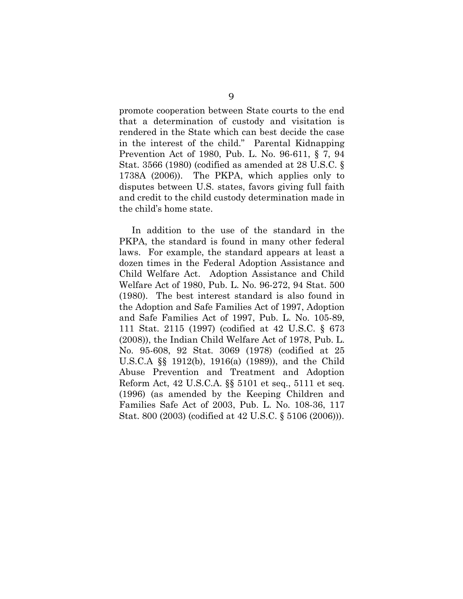promote cooperation between State courts to the end that a determination of custody and visitation is rendered in the State which can best decide the case in the interest of the child." Parental Kidnapping Prevention Act of 1980, Pub. L. No. 96-611, § 7, 94 Stat. 3566 (1980) (codified as amended at 28 U.S.C. § 1738A (2006)). The PKPA, which applies only to disputes between U.S. states, favors giving full faith and credit to the child custody determination made in the child's home state.

In addition to the use of the standard in the PKPA, the standard is found in many other federal laws. For example, the standard appears at least a dozen times in the Federal Adoption Assistance and Child Welfare Act. Adoption Assistance and Child Welfare Act of 1980, Pub. L. No. 96-272, 94 Stat. 500 (1980). The best interest standard is also found in the Adoption and Safe Families Act of 1997, Adoption and Safe Families Act of 1997, Pub. L. No. 105-89, 111 Stat. 2115 (1997) (codified at 42 U.S.C. § 673 (2008)), the Indian Child Welfare Act of 1978, Pub. L. No. 95-608, 92 Stat. 3069 (1978) (codified at 25 U.S.C.A §§ 1912(b), 1916(a) (1989)), and the Child Abuse Prevention and Treatment and Adoption Reform Act, 42 U.S.C.A. §§ 5101 et seq., 5111 et seq. (1996) (as amended by the Keeping Children and Families Safe Act of 2003, Pub. L. No. 108-36, 117 Stat. 800 (2003) (codified at 42 U.S.C. § 5106 (2006))).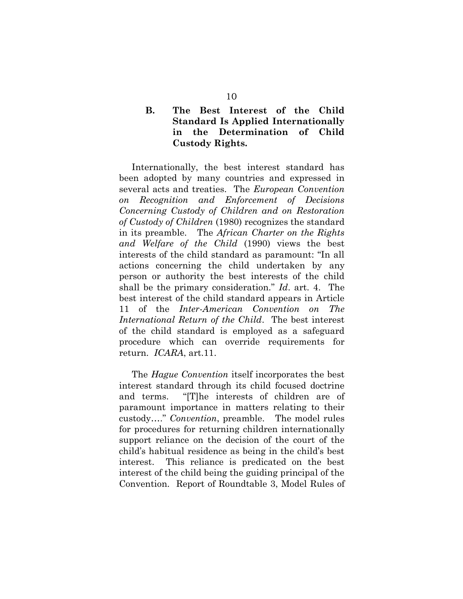## **B. The Best Interest of the Child Standard Is Applied Internationally in the Determination of Child Custody Rights.**

Internationally, the best interest standard has been adopted by many countries and expressed in several acts and treaties. The *European Convention on Recognition and Enforcement of Decisions Concerning Custody of Children and on Restoration of Custody of Children* (1980) recognizes the standard in its preamble. The *African Charter on the Rights and Welfare of the Child* (1990) views the best interests of the child standard as paramount: "In all actions concerning the child undertaken by any person or authority the best interests of the child shall be the primary consideration." *Id*. art. 4. The best interest of the child standard appears in Article 11 of the *Inter-American Convention on The International Return of the Child*. The best interest of the child standard is employed as a safeguard procedure which can override requirements for return. *ICARA*, art.11.

The *Hague Convention* itself incorporates the best interest standard through its child focused doctrine and terms. "[T]he interests of children are of paramount importance in matters relating to their custody…." *Convention*, preamble. The model rules for procedures for returning children internationally support reliance on the decision of the court of the child's habitual residence as being in the child's best interest. This reliance is predicated on the best interest of the child being the guiding principal of the Convention. Report of Roundtable 3, Model Rules of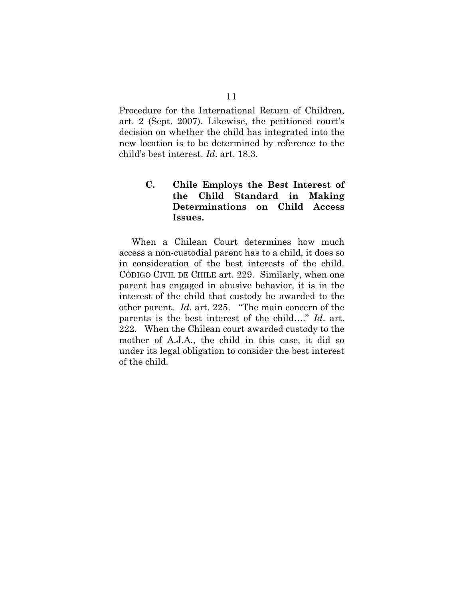Procedure for the International Return of Children, art. 2 (Sept. 2007). Likewise, the petitioned court's decision on whether the child has integrated into the new location is to be determined by reference to the child's best interest. *Id*. art. 18.3.

# **C. Chile Employs the Best Interest of the Child Standard in Making Determinations on Child Access Issues.**

When a Chilean Court determines how much access a non-custodial parent has to a child, it does so in consideration of the best interests of the child. CÓDIGO CIVIL DE CHILE art. 229. Similarly, when one parent has engaged in abusive behavior, it is in the interest of the child that custody be awarded to the other parent. *Id*. art. 225. "The main concern of the parents is the best interest of the child…." *Id*. art. 222. When the Chilean court awarded custody to the mother of A.J.A., the child in this case, it did so under its legal obligation to consider the best interest of the child.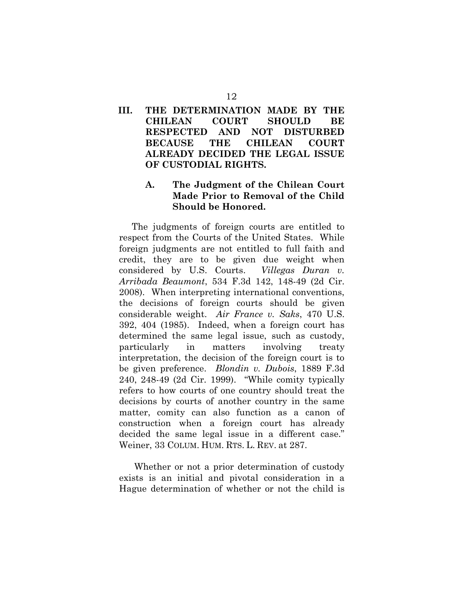## **III. THE DETERMINATION MADE BY THE CHILEAN COURT SHOULD BE RESPECTED AND NOT DISTURBED BECAUSE THE CHILEAN COURT ALREADY DECIDED THE LEGAL ISSUE OF CUSTODIAL RIGHTS.**

# **A. The Judgment of the Chilean Court Made Prior to Removal of the Child Should be Honored.**

The judgments of foreign courts are entitled to respect from the Courts of the United States. While foreign judgments are not entitled to full faith and credit, they are to be given due weight when considered by U.S. Courts. *Villegas Duran v. Arribada Beaumont*, 534 F.3d 142, 148-49 (2d Cir. 2008). When interpreting international conventions, the decisions of foreign courts should be given considerable weight. *Air France v. Saks*, 470 U.S. 392, 404 (1985). Indeed, when a foreign court has determined the same legal issue, such as custody, particularly in matters involving treaty interpretation, the decision of the foreign court is to be given preference. *Blondin v. Dubois*, 1889 F.3d 240, 248-49 (2d Cir. 1999). "While comity typically refers to how courts of one country should treat the decisions by courts of another country in the same matter, comity can also function as a canon of construction when a foreign court has already decided the same legal issue in a different case." Weiner, 33 COLUM. HUM. RTS. L. REV. at 287.

Whether or not a prior determination of custody exists is an initial and pivotal consideration in a Hague determination of whether or not the child is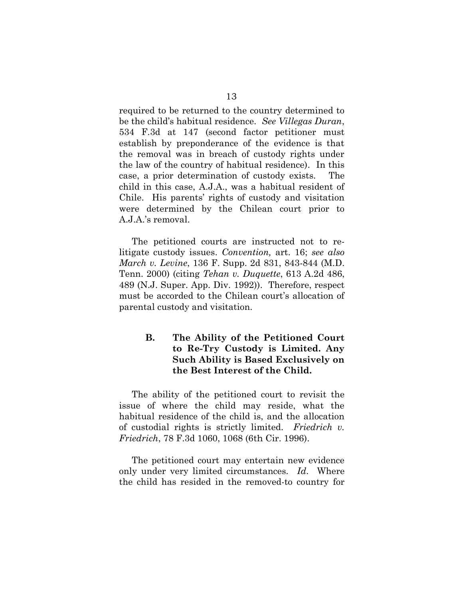required to be returned to the country determined to be the child's habitual residence. *See Villegas Duran*, 534 F.3d at 147 (second factor petitioner must establish by preponderance of the evidence is that the removal was in breach of custody rights under the law of the country of habitual residence). In this case, a prior determination of custody exists. The child in this case, A.J.A., was a habitual resident of Chile. His parents' rights of custody and visitation were determined by the Chilean court prior to A.J.A.'s removal.

The petitioned courts are instructed not to relitigate custody issues. *Convention,* art. 16; *see also March v. Levine*, 136 F. Supp. 2d 831, 843-844 (M.D. Tenn. 2000) (citing *Tehan v. Duquette*, 613 A.2d 486, 489 (N.J. Super. App. Div. 1992)). Therefore, respect must be accorded to the Chilean court's allocation of parental custody and visitation.

# **B. The Ability of the Petitioned Court to Re-Try Custody is Limited. Any Such Ability is Based Exclusively on the Best Interest of the Child.**

The ability of the petitioned court to revisit the issue of where the child may reside, what the habitual residence of the child is, and the allocation of custodial rights is strictly limited. *Friedrich v. Friedrich*, 78 F.3d 1060, 1068 (6th Cir. 1996).

The petitioned court may entertain new evidence only under very limited circumstances. *Id*. Where the child has resided in the removed-to country for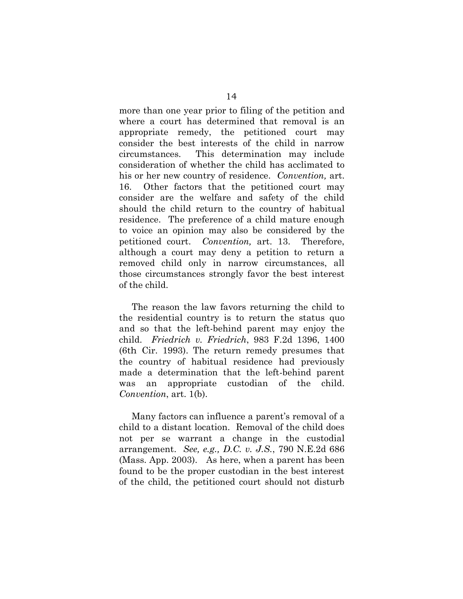more than one year prior to filing of the petition and where a court has determined that removal is an appropriate remedy, the petitioned court may consider the best interests of the child in narrow circumstances. This determination may include consideration of whether the child has acclimated to his or her new country of residence. *Convention,* art. 16. Other factors that the petitioned court may consider are the welfare and safety of the child should the child return to the country of habitual residence. The preference of a child mature enough to voice an opinion may also be considered by the petitioned court. *Convention,* art. 13. Therefore, although a court may deny a petition to return a removed child only in narrow circumstances, all those circumstances strongly favor the best interest of the child.

The reason the law favors returning the child to the residential country is to return the status quo and so that the left-behind parent may enjoy the child. *Friedrich v. Friedrich*, 983 F.2d 1396, 1400 (6th Cir. 1993). The return remedy presumes that the country of habitual residence had previously made a determination that the left-behind parent was an appropriate custodian of the child. *Convention*, art. 1(b).

Many factors can influence a parent's removal of a child to a distant location. Removal of the child does not per se warrant a change in the custodial arrangement. *See, e.g., D.C. v. J.S.*, 790 N.E.2d 686 (Mass. App. 2003). As here, when a parent has been found to be the proper custodian in the best interest of the child, the petitioned court should not disturb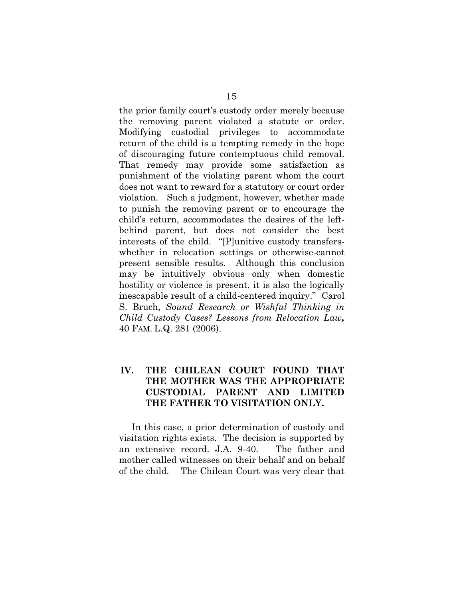the prior family court's custody order merely because the removing parent violated a statute or order. Modifying custodial privileges to accommodate return of the child is a tempting remedy in the hope of discouraging future contemptuous child removal. That remedy may provide some satisfaction as punishment of the violating parent whom the court does not want to reward for a statutory or court order violation. Such a judgment, however, whether made to punish the removing parent or to encourage the child's return, accommodates the desires of the leftbehind parent, but does not consider the best interests of the child. "[P]unitive custody transferswhether in relocation settings or otherwise-cannot present sensible results. Although this conclusion may be intuitively obvious only when domestic hostility or violence is present, it is also the logically inescapable result of a child-centered inquiry." Carol S. Bruch, *Sound Research or Wishful Thinking in Child Custody Cases? Lessons from Relocation Law,*  40 FAM. L.Q. 281 (2006).

## **IV. THE CHILEAN COURT FOUND THAT THE MOTHER WAS THE APPROPRIATE CUSTODIAL PARENT AND LIMITED THE FATHER TO VISITATION ONLY.**

In this case, a prior determination of custody and visitation rights exists. The decision is supported by an extensive record. J.A. 9-40. The father and mother called witnesses on their behalf and on behalf of the child. The Chilean Court was very clear that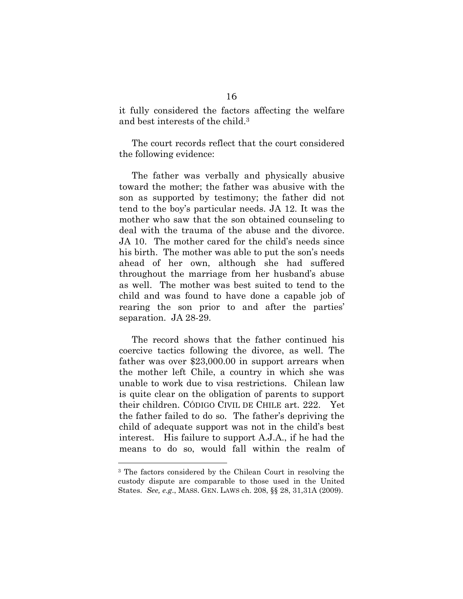it fully considered the factors affecting the welfare and best interests of the child. 3

The court records reflect that the court considered the following evidence:

The father was verbally and physically abusive toward the mother; the father was abusive with the son as supported by testimony; the father did not tend to the boy's particular needs. JA 12. It was the mother who saw that the son obtained counseling to deal with the trauma of the abuse and the divorce. JA 10. The mother cared for the child's needs since his birth. The mother was able to put the son's needs ahead of her own, although she had suffered throughout the marriage from her husband's abuse as well. The mother was best suited to tend to the child and was found to have done a capable job of rearing the son prior to and after the parties' separation. JA 28-29.

The record shows that the father continued his coercive tactics following the divorce, as well. The father was over \$23,000.00 in support arrears when the mother left Chile, a country in which she was unable to work due to visa restrictions. Chilean law is quite clear on the obligation of parents to support their children. CÓDIGO CIVIL DE CHILE art. 222. Yet the father failed to do so. The father's depriving the child of adequate support was not in the child's best interest. His failure to support A.J.A., if he had the means to do so, would fall within the realm of

 $\overline{a}$ 

<sup>3</sup> The factors considered by the Chilean Court in resolving the custody dispute are comparable to those used in the United States. *See, e.g*., MASS. GEN. LAWS ch. 208, §§ 28, 31,31A (2009).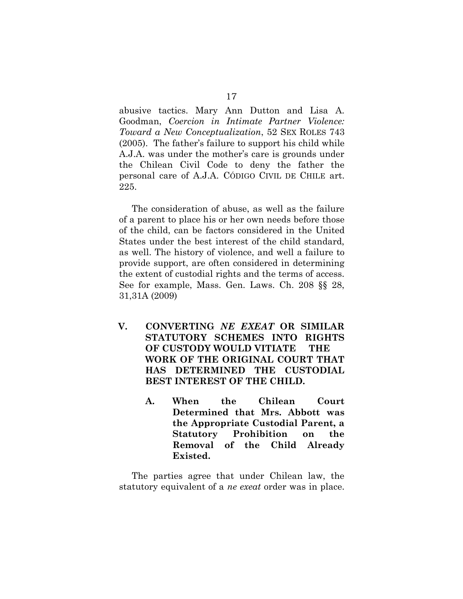abusive tactics. Mary Ann Dutton and Lisa A. Goodman, *Coercion in Intimate Partner Violence: Toward a New Conceptualization*, 52 SEX ROLES 743 (2005). The father's failure to support his child while A.J.A. was under the mother's care is grounds under the Chilean Civil Code to deny the father the personal care of A.J.A. CÓDIGO CIVIL DE CHILE art. 225.

The consideration of abuse, as well as the failure of a parent to place his or her own needs before those of the child, can be factors considered in the United States under the best interest of the child standard, as well. The history of violence, and well a failure to provide support, are often considered in determining the extent of custodial rights and the terms of access. See for example, Mass. Gen. Laws. Ch. 208 §§ 28, 31,31A (2009)

- **V. CONVERTING** *NE EXEAT* **OR SIMILAR STATUTORY SCHEMES INTO RIGHTS OF CUSTODY WOULD VITIATE THE WORK OF THE ORIGINAL COURT THAT HAS DETERMINED THE CUSTODIAL BEST INTEREST OF THE CHILD.**
	- **A. When the Chilean Court Determined that Mrs. Abbott was the Appropriate Custodial Parent, a Statutory Prohibition on the Removal of the Child Already Existed.**

The parties agree that under Chilean law, the statutory equivalent of a *ne exeat* order was in place.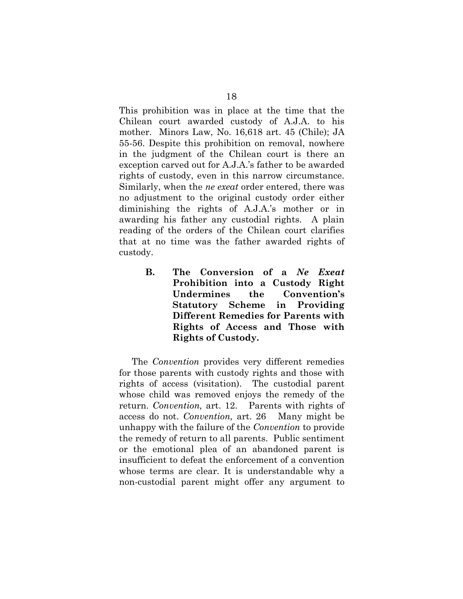This prohibition was in place at the time that the Chilean court awarded custody of A.J.A. to his mother. Minors Law, No. 16,618 art. 45 (Chile); JA 55-56. Despite this prohibition on removal, nowhere in the judgment of the Chilean court is there an exception carved out for A.J.A.'s father to be awarded rights of custody, even in this narrow circumstance. Similarly, when the *ne exeat* order entered, there was no adjustment to the original custody order either diminishing the rights of A.J.A.'s mother or in awarding his father any custodial rights. A plain reading of the orders of the Chilean court clarifies that at no time was the father awarded rights of custody.

> **B. The Conversion of a** *Ne Exeat* **Prohibition into a Custody Right Undermines the Convention's Statutory Scheme in Providing Different Remedies for Parents with Rights of Access and Those with Rights of Custody.**

The *Convention* provides very different remedies for those parents with custody rights and those with rights of access (visitation). The custodial parent whose child was removed enjoys the remedy of the return. *Convention,* art. 12. Parents with rights of access do not. *Convention,* art. 26 Many might be unhappy with the failure of the *Convention* to provide the remedy of return to all parents. Public sentiment or the emotional plea of an abandoned parent is insufficient to defeat the enforcement of a convention whose terms are clear. It is understandable why a non-custodial parent might offer any argument to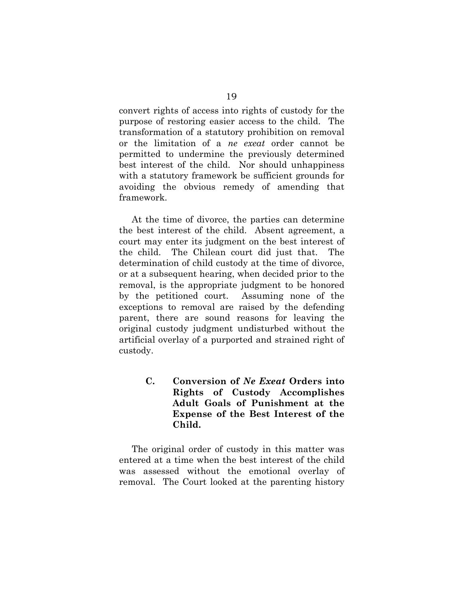convert rights of access into rights of custody for the purpose of restoring easier access to the child. The transformation of a statutory prohibition on removal or the limitation of a *ne exeat* order cannot be permitted to undermine the previously determined best interest of the child. Nor should unhappiness with a statutory framework be sufficient grounds for avoiding the obvious remedy of amending that framework.

At the time of divorce, the parties can determine the best interest of the child. Absent agreement, a court may enter its judgment on the best interest of the child. The Chilean court did just that. The determination of child custody at the time of divorce, or at a subsequent hearing, when decided prior to the removal, is the appropriate judgment to be honored by the petitioned court. Assuming none of the exceptions to removal are raised by the defending parent, there are sound reasons for leaving the original custody judgment undisturbed without the artificial overlay of a purported and strained right of custody.

> **C. Conversion of** *Ne Exeat* **Orders into Rights of Custody Accomplishes Adult Goals of Punishment at the Expense of the Best Interest of the Child.**

The original order of custody in this matter was entered at a time when the best interest of the child was assessed without the emotional overlay of removal. The Court looked at the parenting history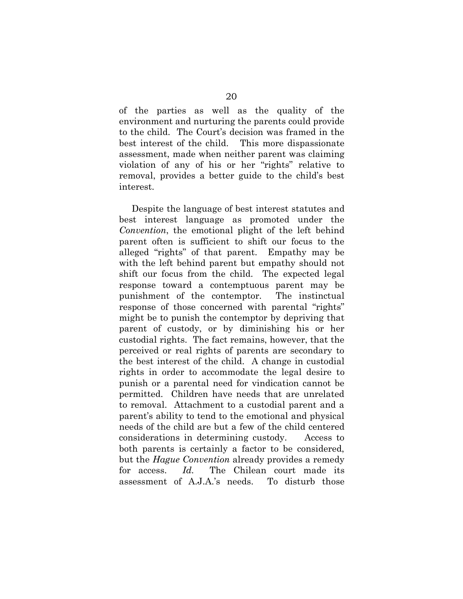of the parties as well as the quality of the environment and nurturing the parents could provide to the child. The Court's decision was framed in the best interest of the child. This more dispassionate assessment, made when neither parent was claiming violation of any of his or her "rights" relative to removal, provides a better guide to the child's best interest.

Despite the language of best interest statutes and best interest language as promoted under the *Convention*, the emotional plight of the left behind parent often is sufficient to shift our focus to the alleged "rights" of that parent. Empathy may be with the left behind parent but empathy should not shift our focus from the child. The expected legal response toward a contemptuous parent may be punishment of the contemptor. The instinctual response of those concerned with parental "rights" might be to punish the contemptor by depriving that parent of custody, or by diminishing his or her custodial rights. The fact remains, however, that the perceived or real rights of parents are secondary to the best interest of the child. A change in custodial rights in order to accommodate the legal desire to punish or a parental need for vindication cannot be permitted. Children have needs that are unrelated to removal. Attachment to a custodial parent and a parent's ability to tend to the emotional and physical needs of the child are but a few of the child centered considerations in determining custody. Access to both parents is certainly a factor to be considered, but the *Hague Convention* already provides a remedy for access. *Id.* The Chilean court made its assessment of A.J.A.'s needs. To disturb those